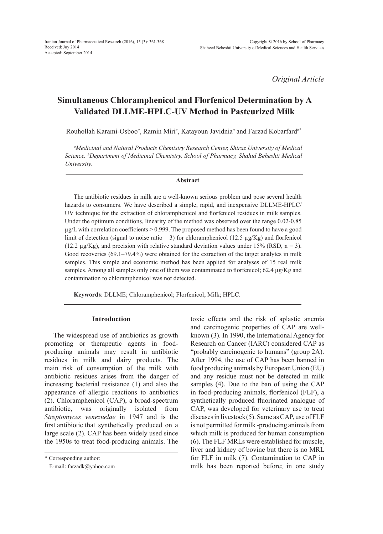*Original Article*

# **Simultaneous Chloramphenicol and Florfenicol Determination by A Validated DLLME-HPLC-UV Method in Pasteurized Milk**

Rouhollah Karami-Osboo*<sup>a</sup>* , Ramin Miri*<sup>a</sup>* , Katayoun Javidnia*<sup>a</sup>* and Farzad Kobarfard*b\**

*a Medicinal and Natural Products Chemistry Research Center, Shiraz University of Medical Science. b Department of Medicinal Chemistry, School of Pharmacy, Shahid Beheshti Medical University.* 

#### **Abstract**

The antibiotic residues in milk are a well-known serious problem and pose several health hazards to consumers. We have described a simple, rapid, and inexpensive DLLME-HPLC/ UV technique for the extraction of chloramphenicol and florfenicol residues in milk samples. Under the optimum conditions, linearity of the method was observed over the range 0.02-0.85  $\mu$ g/L with correlation coefficients  $> 0.999$ . The proposed method has been found to have a good limit of detection (signal to noise ratio = 3) for chloramphenicol (12.5  $\mu$ g/Kg) and florfenicol (12.2  $\mu$ g/Kg), and precision with relative standard deviation values under 15% (RSD, n = 3). Good recoveries (69.1–79.4%) were obtained for the extraction of the target analytes in milk samples. This simple and economic method has been applied for analyses of 15 real milk samples. Among all samples only one of them was contaminated to florfenicol; 62.4 µg/Kg and contamination to chloramphenicol was not detected.

**Keywords**: DLLME; Chloramphenicol; Florfenicol; Milk; HPLC.

# **Introduction**

The widespread use of antibiotics as growth promoting or therapeutic agents in foodproducing animals may result in antibiotic residues in milk and dairy products. The main risk of consumption of the milk with antibiotic residues arises from the danger of increasing bacterial resistance (1) and also the appearance of allergic reactions to antibiotics (2). Chloramphenicol (CAP), a broad-spectrum antibiotic, was originally isolated from *Streptomyces venezuelae* in 1947 and is the first antibiotic that synthetically produced on a large scale (2). CAP has been widely used since the 1950s to treat food-producing animals. The toxic effects and the risk of aplastic anemia and carcinogenic properties of CAP are wellknown (3). In 1990, the International Agency for Research on Cancer (IARC) considered CAP as "probably carcinogenic to humans" (group 2A). After 1994, the use of CAP has been banned in food producing animals by European Union (EU) and any residue must not be detected in milk samples (4). Due to the ban of using the CAP in food-producing animals, florfenicol (FLF), a synthetically produced fluorinated analogue of CAP, was developed for veterinary use to treat diseases in livestock(5). Same as CAP, use of FLF is not permitted for milk -producing animals from which milk is produced for human consumption (6). The FLF MRLs were established for muscle, liver and kidney of bovine but there is no MRL for FLF in milk (7). Contamination to CAP in milk has been reported before; in one study

<sup>\*</sup> Corresponding author:

E-mail: farzadk@yahoo.com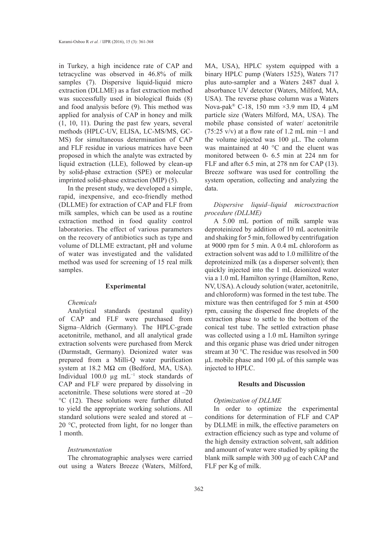in Turkey, a high incidence rate of CAP and tetracycline was observed in 46.8% of milk samples (7). Dispersive liquid-liquid micro extraction (DLLME) as a fast extraction method was successfully used in biological fluids (8) and food analysis before (9). This method was applied for analysis of CAP in honey and milk (1, 10, 11). During the past few years, several methods (HPLC-UV, ELISA, LC-MS/MS, GC-MS) for simultaneous determination of CAP and FLF residue in various matrices have been proposed in which the analyte was extracted by liquid extraction (LLE), followed by clean-up by solid-phase extraction (SPE) or molecular imprinted solid-phase extraction (MIP) (5).

In the present study, we developed a simple, rapid, inexpensive, and eco-friendly method (DLLME) for extraction of CAP and FLF from milk samples, which can be used as a routine extraction method in food quality control laboratories. The effect of various parameters on the recovery of antibiotics such as type and volume of DLLME extractant, pH and volume of water was investigated and the validated method was used for screening of 15 real milk samples.

#### **Experimental**

# *Chemicals*

Analytical standards (pestanal quality) of CAP and FLF were purchased from Sigma–Aldrich (Germany). The HPLC-grade acetonitrile, methanol, and all analytical grade extraction solvents were purchased from Merck (Darmstadt, Germany). Deionized water was prepared from a Milli-Q water purification system at 18.2 MΩ cm (Bedford, MA, USA). Individual 100.0 µg mL−1 stock standards of CAP and FLF were prepared by dissolving in acetonitrile. These solutions were stored at –20 °C (12). These solutions were further diluted to yield the appropriate working solutions. All standard solutions were sealed and stored at – 20 °C, protected from light, for no longer than 1 month.

#### *Instrumentation*

The chromatographic analyses were carried out using a Waters Breeze (Waters, Milford, MA, USA), HPLC system equipped with a binary HPLC pump (Waters 1525), Waters 717 plus auto-sampler and a Waters 2487 dual λ absorbance UV detector (Waters, Milford, MA, USA). The reverse phase column was a Waters Nova-pak® C-18, 150 mm ×3.9 mm ID, 4 µM particle size (Waters Milford, MA, USA). The mobile phase consisted of water/ acetonitrile  $(75:25 \text{ v/v})$  at a flow rate of 1.2 mL min -1 and the volume injected was  $100 \mu L$ . The column was maintained at 40 °C and the eluent was monitored between 0- 6.5 min at 224 nm for FLF and after 6.5 min, at 278 nm for CAP (13). Breeze software was used for controlling the system operation, collecting and analyzing the data.

*Dispersive liquid–liquid microextraction procedure (DLLME)*

A 5.00 mL portion of milk sample was deproteinized by addition of 10 mL acetonitrile and shaking for 5 min, followed by centrifugation at 9000 rpm for 5 min. A 0.4 mL chloroform as extraction solvent was add to 1.0 millilitre of the deproteinized milk (as a disperser solvent); then quickly injected into the 1 mL deionized water via a 1.0 mL Hamilton syringe (Hamilton, Reno, NV, USA). A cloudy solution (water, acetonitrile, and chloroform) was formed in the test tube. The mixture was then centrifuged for 5 min at 4500 rpm, causing the dispersed fine droplets of the extraction phase to settle to the bottom of the conical test tube. The settled extraction phase was collected using a 1.0 mL Hamilton syringe and this organic phase was dried under nitrogen stream at 30 °C. The residue was resolved in 500 μL mobile phase and 100 μL of this sample was injected to HPLC.

#### **Results and Discussion**

#### *Optimization of DLLME*

In order to optimize the experimental conditions for determination of FLF and CAP by DLLME in milk, the effective parameters on extraction efficiency such as type and volume of the high density extraction solvent, salt addition and amount of water were studied by spiking the blank milk sample with 300 µg of each CAP and FLF per Kg of milk.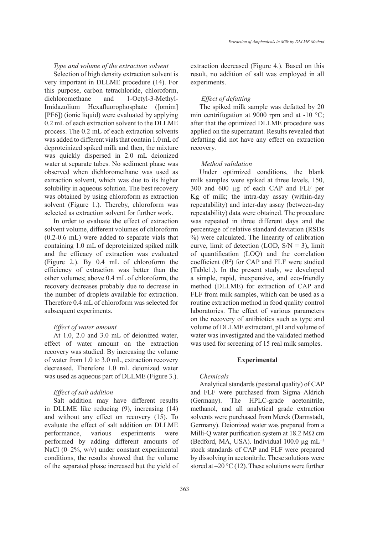# *Type and volume of the extraction solvent*

Selection of high density extraction solvent is very important in DLLME procedure (14). For this purpose, carbon tetrachloride, chloroform, dichloromethane and 1-Octyl-3-Methyl-Imidazolium Hexafluorophosphate ([omim] [PF6]) (ionic liquid) were evaluated by applying 0.2 mL of each extraction solvent to the DLLME process. The 0.2 mL of each extraction solvents was added to different vials that contain 1.0 mL of deproteinized spiked milk and then, the mixture was quickly dispersed in 2.0 mL deionized water at separate tubes. No sediment phase was observed when dichloromethane was used as extraction solvent, which was due to its higher solubility in aqueous solution. The best recovery was obtained by using chloroform as extraction solvent (Figure 1.). Thereby, chloroform was selected as extraction solvent for further work.

In order to evaluate the effect of extraction solvent volume, different volumes of chloroform (0.2-0.6 mL) were added to separate vials that containing 1.0 mL of deproteinized spiked milk and the efficacy of extraction was evaluated (Figure 2.). By 0.4 mL of chloroform the efficiency of extraction was better than the other volumes; above 0.4 mL of chloroform, the recovery decreases probably due to decrease in the number of droplets available for extraction. Therefore 0.4 mL of chloroform was selected for subsequent experiments.

### *Effect of water amount*

At 1.0, 2.0 and 3.0 mL of deionized water, effect of water amount on the extraction recovery was studied. By increasing the volume of water from 1.0 to 3.0 mL, extraction recovery decreased. Therefore 1.0 mL deionized water was used as aqueous part of DLLME (Figure 3.).

# *Effect of salt addition*

Salt addition may have different results in DLLME like reducing (9), increasing (14) and without any effect on recovery (15). To evaluate the effect of salt addition on DLLME performance, various experiments were performed by adding different amounts of NaCl (0–2%, w/v) under constant experimental conditions, the results showed that the volume of the separated phase increased but the yield of extraction decreased (Figure 4.). Based on this result, no addition of salt was employed in all experiments.

#### *Effect of defatting*

The spiked milk sample was defatted by 20 min centrifugation at 9000 rpm and at -10  $^{\circ}C$ ; after that the optimized DLLME procedure was applied on the supernatant. Results revealed that defatting did not have any effect on extraction recovery.

#### *Method validation*

Under optimized conditions, the blank milk samples were spiked at three levels, 150, 300 and 600 µg of each CAP and FLF per Kg of milk; the intra-day assay (within-day repeatability) and inter-day assay (between-day repeatability) data were obtained. The procedure was repeated in three different days and the percentage of relative standard deviation (RSDs %) were calculated. The linearity of calibration curve, limit of detection (LOD, S/N = 3)**,** limit of quantification (LOQ) and the correlation coefficient  $(R^2)$  for CAP and FLF were studied (Table1.). In the present study, we developed a simple, rapid, inexpensive, and eco-friendly method (DLLME) for extraction of CAP and FLF from milk samples, which can be used as a routine extraction method in food quality control laboratories. The effect of various parameters on the recovery of antibiotics such as type and volume of DLLME extractant, pH and volume of water was investigated and the validated method was used for screening of 15 real milk samples.

#### **Experimental**

# *Chemicals*

Analytical standards (pestanal quality) of CAP and FLF were purchased from Sigma–Aldrich (Germany). The HPLC-grade acetonitrile, methanol, and all analytical grade extraction solvents were purchased from Merck (Darmstadt, Germany). Deionized water was prepared from a Milli-Q water purification system at  $18.2 \text{ M}\Omega$  cm (Bedford, MA, USA). Individual 100.0 µg mL−1 stock standards of CAP and FLF were prepared by dissolving in acetonitrile. These solutions were stored at  $-20$  °C (12). These solutions were further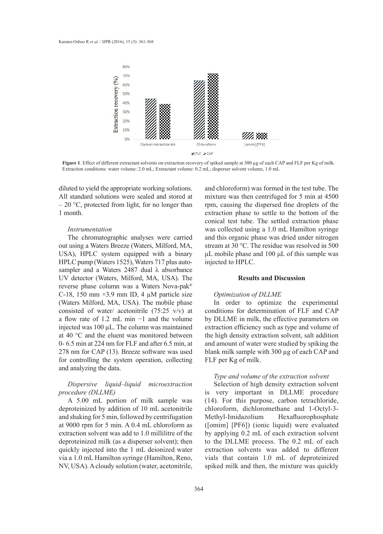

**Figure 1**. Effect of different extractant solvents on extraction recovery of spiked sample at 300 µg of each CAP and FLF per Kg of milk. Extraction conditions: water volume: 2.0 mL; Extractant volume: 0.2 mL; disperser solvent volume, 1.0 mL

diluted to yield the appropriate working solutions. All standard solutions were sealed and stored at  $-20$  °C, protected from light, for no longer than 1 month.

#### *Instrumentation*

The chromatographic analyses were carried out using a Waters Breeze (Waters, Milford, MA, USA), HPLC system equipped with a binary HPLC pump (Waters 1525), Waters 717 plus autosampler and a Waters 2487 dual λ absorbance UV detector (Waters, Milford, MA, USA). The reverse phase column was a Waters Nova-pak® C-18, 150 mm  $\times$ 3.9 mm ID, 4  $\mu$ M particle size (Waters Milford, MA, USA). The mobile phase consisted of water/ acetonitrile (75:25 v/v) at a flow rate of 1.2 mL min −1 and the volume injected was 100 µL. The column was maintained at 40 °C and the eluent was monitored between 0- 6.5 min at 224 nm for FLF and after 6.5 min, at 278 nm for CAP (13). Breeze software was used for controlling the system operation, collecting and analyzing the data.

# *Dispersive liquid–liquid microextraction procedure (DLLME)*

A 5.00 mL portion of milk sample was deproteinized by addition of 10 mL acetonitrile and shaking for 5 min, followed by centrifugation at 9000 rpm for 5 min. A 0.4 mL chloroform as extraction solvent was add to 1.0 millilitre of the deproteinized milk (as a disperser solvent); then quickly injected into the 1 mL deionized water via a 1.0 mL Hamilton syringe (Hamilton, Reno, NV, USA). A cloudy solution (water, acetonitrile,

and chloroform) was formed in the test tube. The mixture was then centrifuged for 5 min at 4500 rpm, causing the dispersed fine droplets of the extraction phase to settle to the bottom of the conical test tube. The settled extraction phase was collected using a 1.0 mL Hamilton syringe and this organic phase was dried under nitrogen stream at 30 °C. The residue was resolved in 500 μL mobile phase and 100 μL of this sample was injected to HPLC.

# **Results and Discussion**

#### *Optimization of DLLME*

In order to optimize the experimental conditions for determination of FLF and CAP by DLLME in milk, the effective parameters on extraction efficiency such as type and volume of the high density extraction solvent, salt addition and amount of water were studied by spiking the blank milk sample with 300 µg of each CAP and FLF per Kg of milk.

# *Type and volume of the extraction solvent*

Selection of high density extraction solvent is very important in DLLME procedure (14). For this purpose, carbon tetrachloride, chloroform, dichloromethane and 1-Octyl-3- Methyl-Imidazolium Hexafluorophosphate ([omim] [PF6]) (ionic liquid) were evaluated by applying 0.2 mL of each extraction solvent to the DLLME process. The 0.2 mL of each extraction solvents was added to different vials that contain 1.0 mL of deproteinized spiked milk and then, the mixture was quickly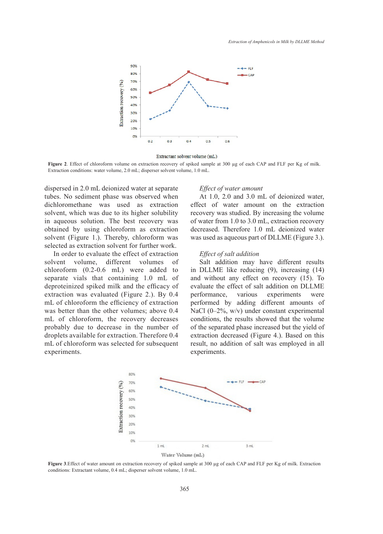

#### Extractant solvent volume (mL)

Figure 2. Effect of chloroform volume on extraction recovery of spiked sample at 300 µg of each CAP and FLF per Kg of milk. Extraction conditions: water volume, 2.0 mL; disperser solvent volume, 1.0 mL.

dispersed in 2.0 mL deionized water at separate tubes. No sediment phase was observed when dichloromethane was used as extraction solvent, which was due to its higher solubility in aqueous solution. The best recovery was obtained by using chloroform as extraction solvent (Figure 1.). Thereby, chloroform was selected as extraction solvent for further work.

In order to evaluate the effect of extraction solvent volume, different volumes of chloroform (0.2-0.6 mL) were added to separate vials that containing 1.0 mL of deproteinized spiked milk and the efficacy of extraction was evaluated (Figure 2.). By 0.4 mL of chloroform the efficiency of extraction was better than the other volumes; above 0.4 mL of chloroform, the recovery decreases probably due to decrease in the number of droplets available for extraction. Therefore 0.4 mL of chloroform was selected for subsequent experiments.

#### *Effect of water amount*

At 1.0, 2.0 and 3.0 mL of deionized water, effect of water amount on the extraction recovery was studied. By increasing the volume of water from 1.0 to 3.0 mL, extraction recovery decreased. Therefore 1.0 mL deionized water was used as aqueous part of DLLME (Figure 3.).

# *Effect of salt addition*

Salt addition may have different results in DLLME like reducing (9), increasing (14) and without any effect on recovery (15). To evaluate the effect of salt addition on DLLME performance, various experiments were performed by adding different amounts of NaCl (0–2%, w/v) under constant experimental conditions, the results showed that the volume of the separated phase increased but the yield of extraction decreased (Figure 4.). Based on this result, no addition of salt was employed in all experiments.



**Figure 3**. Effect of water amount on extraction recovery of spiked sample at 300 µg of each CAP and FLF per Kg of milk. Extraction conditions: Extractant volume, 0.4 mL; disperser solvent volume, 1.0 mL.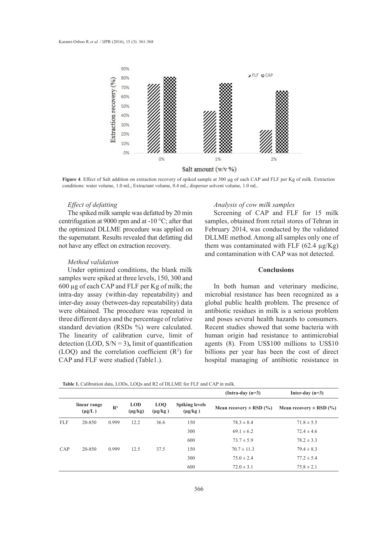

**Figure 4**. Effect of Salt addition on extraction recovery of spiked sample at 300 µg of each CAP and FLF per Kg of milk. Extraction conditions: water volume, 1.0 mL; Extractant volume, 0.4 mL; disperser solvent volume, 1.0 mL.

# *Effect of defatting*

The spiked milk sample was defatted by 20 min centrifugation at 9000 rpm and at -10 °C; after that the optimized DLLME procedure was applied on the supernatant. Results revealed that defatting did not have any effect on extraction recovery.

# *Method validation*

Under optimized conditions, the blank milk samples were spiked at three levels, 150, 300 and 600 µg of each CAP and FLF per Kg of milk; the intra-day assay (within-day repeatability) and inter-day assay (between-day repeatability) data were obtained. The procedure was repeated in three different days and the percentage of relative standard deviation (RSDs %) were calculated. The linearity of calibration curve, limit of detection (LOD,  $S/N = 3$ ), limit of quantification  $(LOQ)$  and the correlation coefficient  $(R<sup>2</sup>)$  for CAP and FLF were studied (Table1.).

#### *Analysis of cow milk samples*

Screening of CAP and FLF for 15 milk samples, obtained from retail stores of Tehran in February 2014, was conducted by the validated DLLME method. Among all samples only one of them was contaminated with FLF  $(62.4 \text{ µg/Kg})$ and contamination with CAP was not detected.

## **Conclusions**

In both human and veterinary medicine, microbial resistance has been recognized as a global public health problem. The presence of antibiotic residues in milk is a serious problem and poses several health hazards to consumers. Recent studies showed that some bacteria with human origin had resistance to antimicrobial agents (8). From US\$100 millions to US\$10 billions per year has been the cost of direct hospital managing of antibiotic resistance in

|     |                             |                |                            |                     |                                       | (Intra-day $(n=3)$ )        | Inter-day $(n=3)$           |
|-----|-----------------------------|----------------|----------------------------|---------------------|---------------------------------------|-----------------------------|-----------------------------|
|     | linear range<br>$(\mu g/L)$ | $\mathbb{R}^2$ | <b>LOD</b><br>$(\mu g/kg)$ | LOQ<br>$(\mu g/kg)$ | <b>Spiking levels</b><br>$(\mu g/kg)$ | Mean recovery $\pm$ RSD (%) | Mean recovery $\pm$ RSD (%) |
| FLF | 20-850                      | 0.999          | 12.2                       | 36.6                | 150                                   | $78.3 \pm 8.4$              | $71.8 \pm 5.5$              |
|     |                             |                |                            |                     | 300                                   | $69.1 \pm 6.2$              | $72.4 \pm 4.6$              |
|     |                             |                |                            |                     | 600                                   | $73.7 \pm 5.9$              | $78.2 \pm 3.3$              |
| CAP | 20-850                      | 0.999          | 12.5                       | 37.5                | 150                                   | $70.7 \pm 11.3$             | $79.4 \pm 8.3$              |
|     |                             |                |                            |                     | 300                                   | $75.0 \pm 2.4$              | $77.2 \pm 5.4$              |
|     |                             |                |                            |                     | 600                                   | $72.0 \pm 3.1$              | $75.8 \pm 2.1$              |

**Table 1.** Calibration data, LODs, LOQs and R2 of DLLME for FLF and CAP in milk.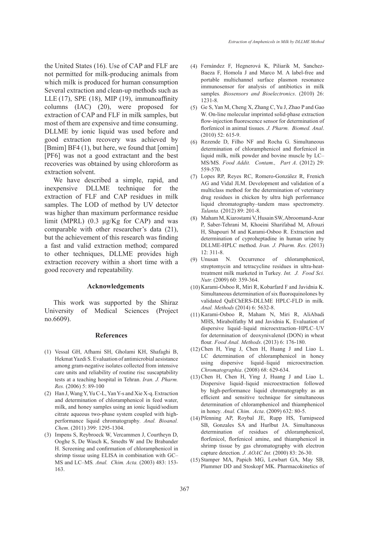the United States (16). Use of CAP and FLF are not permitted for milk-producing animals from which milk is produced for human consumption Several extraction and clean-up methods such as LLE (17), SPE (18), MIP (19), immunoaffinity columns (IAC) (20), were proposed for extraction of CAP and FLF in milk samples, but most of them are expensive and time consuming. DLLME by ionic liquid was used before and good extraction recovery was achieved by [Bmim] BF4 (1), but here, we found that [omim] [PF6] was not a good extractant and the best recoveries was obtained by using chloroform as extraction solvent.

We have described a simple, rapid, and inexpensive DLLME technique for the extraction of FLF and CAP residues in milk samples. The LOD of method by UV detector was higher than maximum performance residue limit (MPRL) (0.3 µg/Kg for CAP) and was comparable with other researcher's data (21), but the achievement of this research was finding a fast and valid extraction method; compared to other techniques, DLLME provides high extraction recovery within a short time with a good recovery and repeatability.

#### **Acknowledgements**

This work was supported by the Shiraz University of Medical Sciences (Project no.6609).

#### **References**

- Vessal GH, Afhami SH, Gholami KH, Shafaghi B, (1) Hekmat Yazdi S. Evaluation of antimicrobial aesistance among gram-negative isolates collected from intensive care units and reliability of routine risc suscaptability tests at a teaching hospital in Tehran. *Iran. J. Pharm. Res.* (2006) 5: 89-100
- (2) Han J, Wang Y, Yu C-L, Yan Y-s and Xie X-q. Extraction and determination of chloramphenicol in feed water, milk, and honey samples using an ionic liquid/sodium citrate aqueous two-phase system coupled with highperformance liquid chromatography*. Anal. Bioanal. Chem*. (2011) 399: 1295-1304.
- (3) Impens S, Reybroeck W, Vercammen J, Courtheyn D, Ooghe S, De Wasch K, Smedts W and De Brabander H. Screening and confirmation of chloramphenicol in shrimp tissue using ELISA in combination with GC– MS and LC–MS*. Anal. Chim. Acta.* (2003) 483: 153- 163.
- Fernández F, Hegnerová K, Piliarik M, Sanchez-(4) Baeza F, Homola J and Marco M. A label-free and portable multichannel surface plasmon resonance immunosensor for analysis of antibiotics in milk samples*. Biosensors and Bioelectronics*. (2010) 26: 1231-8.
- Ge S, Yan M, Cheng X, Zhang C, Yu J, Zhao P and Gao (5) W. On-line molecular imprinted solid-phase extraction flow-injection fluorescence sensor for determination of florfenicol in animal tissues*. J. Pharm. Biomed. Anal*. (2010) 52: 615-9.
- Rezende D, Filho NF and Rocha G. Simultaneous (6) determination of chloramphenicol and florfenicol in liquid milk, milk powder and bovine muscle by LC– MS/MS*. Food Addit. Contam., Part A*. (2012) 29: 559-570.
- Lopes RP, Reyes RC, Romero-González R, Frenich (7) AG and Vidal JLM. Development and validation of a multiclass method for the determination of veterinary drug residues in chicken by ultra high performance liquid chromatography–tandem mass spectrometry*. Talanta.* (2012) 89: 201-8.
- Maham M, Kiarostami V, Husain SW, Abroomand-Azar (8) P, Saber-Tehrani M, Khoeini Sharifabad M, Afrouzi H, Shapouri M and Karami-Osboo R. Extraction and determination of cyproheptadine in human urine by DLLME-HPLC method. *Iran. J. Pharm. Res.* (2013) 12: 311-8.
- Occurrence of chloramphenicol, streptomycin and tetracycline residues in ultra-heattreatment milk marketed in Turkey*. Int. J. Food Sci. Nutr.* (2009) 60: 359-364.  $(9)$  Unusan N.
- (10) Karami-Osboo R, Miri R, Kobarfard F and Javidnia K. Simultaneous determination of six fluoroquinolones by validated QuEChERS-DLLME HPLC-FLD in milk*. Anal. Methods* (2014) 6: 5632-8.
- Karami-Osboo R, Maham N, Miri R, AliAbadi (11) MHS, Mirabolfathy M and Javidnia K. Evaluation of dispersive liquid–liquid microextraction–HPLC–UV for determination of deoxynivalenol (DON) in wheat flour*. Food Anal. Methods*. (2013) 6: 176-180.
- $(12)$  Chen H, Ying J, Chen H, Huang J and Liao L. LC determination of chloramphenicol in honey using dispersive liquid–liquid microextraction*. Chromatographia*. (2008) 68: 629-634.
- $(13)$  Chen H, Chen H, Ying J, Huang J and Liao L. Dispersive liquid–liquid microextraction followed by high-performance liquid chromatography as an efficient and sensitive technique for simultaneous determination of chloramphenicol and thiamphenicol in honey*. Anal. Chim. Acta*. (2009) 632: 80-5.
- Pfenning AP, Roybal JE, Rupp HS, Turnipseed (14) SB, Gonzales SA and Hurlbut JA. Simultaneous determination of residues of chloramphenicol, florfenicol, florfenicol amine, and thiamphenicol in shrimp tissue by gas chromatography with electron capture detection*. J. AOAC Int.* (2000) 83: 26-30.
- (15) Stamper MA, Papich MG, Lewbart GA, May SB, Plummer DD and Stoskopf MK. Pharmacokinetics of